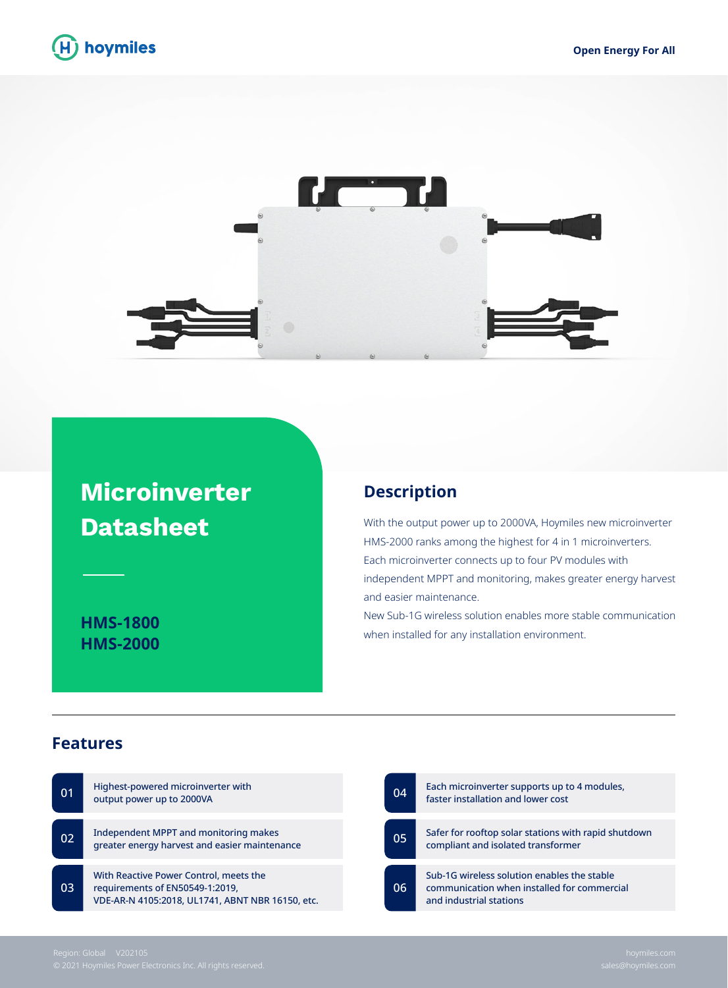



## **Microinverter Datasheet**

**HMS-1800 HMS-2000**

## **Description**

With the output power up to 2000VA, Hoymiles new microinverter HMS-2000 ranks among the highest for 4 in 1 microinverters. Each microinverter connects up to four PV modules with independent MPPT and monitoring, makes greater energy harvest and easier maintenance.

New Sub-1G wireless solution enables more stable communication when installed for any installation environment.

## **Features**

| 01              | Highest-powered microinverter with<br>output power up to 2000VA                                                               | 04 |
|-----------------|-------------------------------------------------------------------------------------------------------------------------------|----|
| 02 <sub>2</sub> | Independent MPPT and monitoring makes<br>greater energy harvest and easier maintenance                                        | 05 |
| 03 <sup>°</sup> | With Reactive Power Control, meets the<br>requirements of EN50549-1:2019,<br>VDE-AR-N 4105:2018, UL1741, ABNT NBR 16150, etc. | 06 |

| 04 | Each microinverter supports up to 4 modules,<br>faster installation and lower cost                                    |
|----|-----------------------------------------------------------------------------------------------------------------------|
| 05 | Safer for rooftop solar stations with rapid shutdown                                                                  |
|    | compliant and isolated transformer                                                                                    |
| 06 | Sub-1G wireless solution enables the stable<br>communication when installed for commercial<br>and industrial stations |